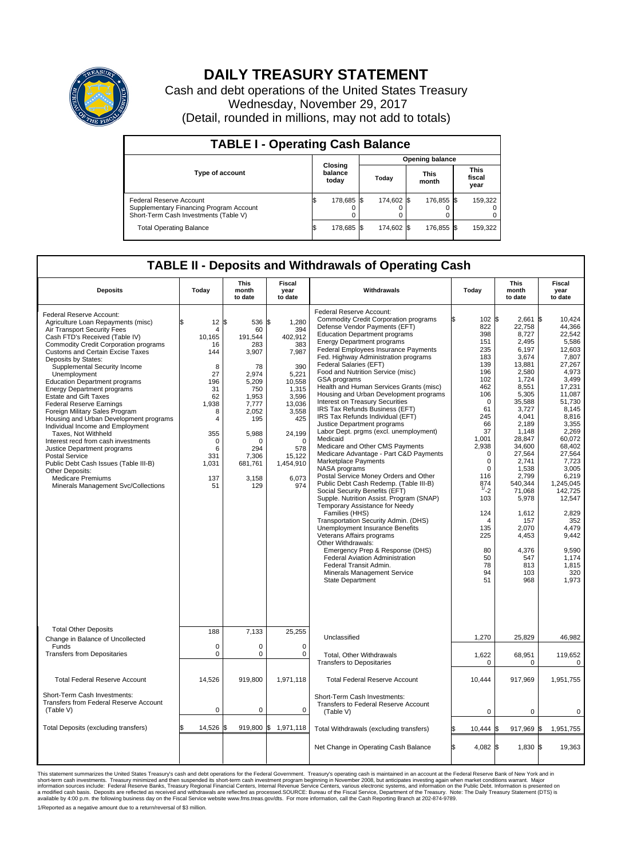

## **DAILY TREASURY STATEMENT**

Cash and debt operations of the United States Treasury Wednesday, November 29, 2017 (Detail, rounded in millions, may not add to totals)

| <b>TABLE I - Operating Cash Balance</b>                                                                            |    |                             |  |                        |  |               |  |                               |  |  |  |
|--------------------------------------------------------------------------------------------------------------------|----|-----------------------------|--|------------------------|--|---------------|--|-------------------------------|--|--|--|
|                                                                                                                    |    |                             |  | <b>Opening balance</b> |  |               |  |                               |  |  |  |
| Type of account                                                                                                    |    | Closing<br>balance<br>today |  | Today                  |  | This<br>month |  | <b>This</b><br>fiscal<br>year |  |  |  |
| <b>Federal Reserve Account</b><br>Supplementary Financing Program Account<br>Short-Term Cash Investments (Table V) |    | 178,685 \$                  |  | 174.602 \$             |  | 176,855 \$    |  | 159,322                       |  |  |  |
| <b>Total Operating Balance</b>                                                                                     | ß. | 178,685 \$                  |  | 174.602 \$             |  | 176,855 \$    |  | 159,322                       |  |  |  |

## **TABLE II - Deposits and Withdrawals of Operating Cash**

| <b>Deposits</b>                                                                                                                                                                                                                                                                                                                                                                                                                                                                                                                                                                                                                                                                                                                                                                                                 | Today                                                                                                                                                              | <b>This</b><br>month<br>to date                                                                                                                                | <b>Fiscal</b><br>year<br>to date                                                                                                                                                        | Withdrawals                                                                                                                                                                                                                                                                                                                                                                                                                                                                                                                                                                                                                                                                                                                                                                                                                                                                                                                                                                                                                                                                                                                                                                                                                                                                               | Today                                                                                                                                                                                                                                                                       | <b>This</b><br>month<br>to date                                                                                                                                                                                                                                                                               | <b>Fiscal</b><br>year<br>to date                                                                                                                                                                                                                                                                                                    |
|-----------------------------------------------------------------------------------------------------------------------------------------------------------------------------------------------------------------------------------------------------------------------------------------------------------------------------------------------------------------------------------------------------------------------------------------------------------------------------------------------------------------------------------------------------------------------------------------------------------------------------------------------------------------------------------------------------------------------------------------------------------------------------------------------------------------|--------------------------------------------------------------------------------------------------------------------------------------------------------------------|----------------------------------------------------------------------------------------------------------------------------------------------------------------|-----------------------------------------------------------------------------------------------------------------------------------------------------------------------------------------|-------------------------------------------------------------------------------------------------------------------------------------------------------------------------------------------------------------------------------------------------------------------------------------------------------------------------------------------------------------------------------------------------------------------------------------------------------------------------------------------------------------------------------------------------------------------------------------------------------------------------------------------------------------------------------------------------------------------------------------------------------------------------------------------------------------------------------------------------------------------------------------------------------------------------------------------------------------------------------------------------------------------------------------------------------------------------------------------------------------------------------------------------------------------------------------------------------------------------------------------------------------------------------------------|-----------------------------------------------------------------------------------------------------------------------------------------------------------------------------------------------------------------------------------------------------------------------------|---------------------------------------------------------------------------------------------------------------------------------------------------------------------------------------------------------------------------------------------------------------------------------------------------------------|-------------------------------------------------------------------------------------------------------------------------------------------------------------------------------------------------------------------------------------------------------------------------------------------------------------------------------------|
| Federal Reserve Account:<br>Agriculture Loan Repayments (misc)<br>Air Transport Security Fees<br>Cash FTD's Received (Table IV)<br><b>Commodity Credit Corporation programs</b><br><b>Customs and Certain Excise Taxes</b><br>Deposits by States:<br>Supplemental Security Income<br>Unemployment<br><b>Education Department programs</b><br><b>Energy Department programs</b><br><b>Estate and Gift Taxes</b><br><b>Federal Reserve Earnings</b><br>Foreign Military Sales Program<br>Housing and Urban Development programs<br>Individual Income and Employment<br>Taxes, Not Withheld<br>Interest recd from cash investments<br>Justice Department programs<br>Postal Service<br>Public Debt Cash Issues (Table III-B)<br>Other Deposits:<br><b>Medicare Premiums</b><br>Minerals Management Svc/Collections | 12S<br>$\overline{4}$<br>10.165<br>16<br>144<br>8<br>27<br>196<br>31<br>62<br>1,938<br>8<br>$\overline{4}$<br>355<br>$\mathbf 0$<br>6<br>331<br>1,031<br>137<br>51 | 536<br>60<br>191.544<br>283<br>3,907<br>78<br>2,974<br>5,209<br>750<br>1,953<br>7,777<br>2,052<br>195<br>5,988<br>n<br>294<br>7,306<br>681,761<br>3,158<br>129 | ß.<br>1,280<br>394<br>402,912<br>383<br>7,987<br>390<br>5,221<br>10,558<br>1.315<br>3,596<br>13,036<br>3,558<br>425<br>24,199<br>$\Omega$<br>578<br>15,122<br>1,454,910<br>6,073<br>974 | Federal Reserve Account:<br><b>Commodity Credit Corporation programs</b><br>Defense Vendor Payments (EFT)<br><b>Education Department programs</b><br><b>Energy Department programs</b><br>Federal Employees Insurance Payments<br>Fed. Highway Administration programs<br>Federal Salaries (EFT)<br>Food and Nutrition Service (misc)<br>GSA programs<br>Health and Human Services Grants (misc)<br>Housing and Urban Development programs<br>Interest on Treasury Securities<br>IRS Tax Refunds Business (EFT)<br>IRS Tax Refunds Individual (EFT)<br>Justice Department programs<br>Labor Dept. prgms (excl. unemployment)<br>Medicaid<br>Medicare and Other CMS Payments<br>Medicare Advantage - Part C&D Payments<br>Marketplace Payments<br>NASA programs<br>Postal Service Money Orders and Other<br>Public Debt Cash Redemp. (Table III-B)<br>Social Security Benefits (EFT)<br>Supple. Nutrition Assist. Program (SNAP)<br>Temporary Assistance for Needy<br>Families (HHS)<br>Transportation Security Admin. (DHS)<br><b>Unemployment Insurance Benefits</b><br>Veterans Affairs programs<br>Other Withdrawals:<br>Emergency Prep & Response (DHS)<br><b>Federal Aviation Administration</b><br>Federal Transit Admin.<br>Minerals Management Service<br><b>State Department</b> | 102 \$<br>822<br>398<br>151<br>235<br>183<br>139<br>196<br>102<br>462<br>106<br>$\Omega$<br>61<br>245<br>66<br>37<br>1,001<br>2,938<br>$\Omega$<br>$\mathbf 0$<br>$\Omega$<br>116<br>874<br>1/2<br>103<br>124<br>$\overline{4}$<br>135<br>225<br>80<br>50<br>78<br>94<br>51 | 2,661<br>22,758<br>8,727<br>2.495<br>6.197<br>3,674<br>13,881<br>2.580<br>1,724<br>8,551<br>5,305<br>35,588<br>3,727<br>4,041<br>2.189<br>1,148<br>28,847<br>34,600<br>27,564<br>2,741<br>1,538<br>2,799<br>540,344<br>71,068<br>5,978<br>1,612<br>157<br>2.070<br>4,453<br>4,376<br>547<br>813<br>103<br>968 | l\$<br>10.424<br>44,366<br>22,542<br>5,586<br>12.603<br>7,807<br>27,267<br>4,973<br>3,499<br>17,231<br>11.087<br>51,730<br>8.145<br>8,816<br>3.355<br>2,269<br>60,072<br>68,402<br>27,564<br>7,723<br>3,005<br>6,219<br>1,245,045<br>142,725<br>12,547<br>2,829<br>352<br>4.479<br>9,442<br>9,590<br>1,174<br>1,815<br>320<br>1,973 |
| <b>Total Other Deposits</b><br>Change in Balance of Uncollected                                                                                                                                                                                                                                                                                                                                                                                                                                                                                                                                                                                                                                                                                                                                                 | 188                                                                                                                                                                | 7,133                                                                                                                                                          | 25,255                                                                                                                                                                                  | Unclassified                                                                                                                                                                                                                                                                                                                                                                                                                                                                                                                                                                                                                                                                                                                                                                                                                                                                                                                                                                                                                                                                                                                                                                                                                                                                              | 1,270                                                                                                                                                                                                                                                                       | 25,829                                                                                                                                                                                                                                                                                                        | 46,982                                                                                                                                                                                                                                                                                                                              |
| Funds<br><b>Transfers from Depositaries</b>                                                                                                                                                                                                                                                                                                                                                                                                                                                                                                                                                                                                                                                                                                                                                                     | $\mathbf 0$<br>0                                                                                                                                                   | $\mathbf 0$<br>$\mathbf 0$                                                                                                                                     | 0<br>$\mathbf 0$                                                                                                                                                                        | Total, Other Withdrawals<br><b>Transfers to Depositaries</b>                                                                                                                                                                                                                                                                                                                                                                                                                                                                                                                                                                                                                                                                                                                                                                                                                                                                                                                                                                                                                                                                                                                                                                                                                              | 1,622<br>0                                                                                                                                                                                                                                                                  | 68,951<br>0                                                                                                                                                                                                                                                                                                   | 119,652<br>0                                                                                                                                                                                                                                                                                                                        |
| <b>Total Federal Reserve Account</b>                                                                                                                                                                                                                                                                                                                                                                                                                                                                                                                                                                                                                                                                                                                                                                            | 14,526                                                                                                                                                             | 919,800                                                                                                                                                        | 1,971,118                                                                                                                                                                               | <b>Total Federal Reserve Account</b>                                                                                                                                                                                                                                                                                                                                                                                                                                                                                                                                                                                                                                                                                                                                                                                                                                                                                                                                                                                                                                                                                                                                                                                                                                                      | 10,444                                                                                                                                                                                                                                                                      | 917,969                                                                                                                                                                                                                                                                                                       | 1,951,755                                                                                                                                                                                                                                                                                                                           |
| Short-Term Cash Investments:<br>Transfers from Federal Reserve Account<br>(Table V)                                                                                                                                                                                                                                                                                                                                                                                                                                                                                                                                                                                                                                                                                                                             | 0                                                                                                                                                                  | $\mathbf 0$                                                                                                                                                    | 0                                                                                                                                                                                       | Short-Term Cash Investments:<br>Transfers to Federal Reserve Account<br>(Table V)                                                                                                                                                                                                                                                                                                                                                                                                                                                                                                                                                                                                                                                                                                                                                                                                                                                                                                                                                                                                                                                                                                                                                                                                         | $\mathbf 0$                                                                                                                                                                                                                                                                 | $\mathbf 0$                                                                                                                                                                                                                                                                                                   | 0                                                                                                                                                                                                                                                                                                                                   |
| Total Deposits (excluding transfers)                                                                                                                                                                                                                                                                                                                                                                                                                                                                                                                                                                                                                                                                                                                                                                            | 14,526                                                                                                                                                             | 919,800 \$<br>l\$                                                                                                                                              | 1,971,118                                                                                                                                                                               | Total Withdrawals (excluding transfers)                                                                                                                                                                                                                                                                                                                                                                                                                                                                                                                                                                                                                                                                                                                                                                                                                                                                                                                                                                                                                                                                                                                                                                                                                                                   | $10,444$ \$                                                                                                                                                                                                                                                                 | 917,969 \$                                                                                                                                                                                                                                                                                                    | 1,951,755                                                                                                                                                                                                                                                                                                                           |
|                                                                                                                                                                                                                                                                                                                                                                                                                                                                                                                                                                                                                                                                                                                                                                                                                 |                                                                                                                                                                    |                                                                                                                                                                |                                                                                                                                                                                         | Net Change in Operating Cash Balance                                                                                                                                                                                                                                                                                                                                                                                                                                                                                                                                                                                                                                                                                                                                                                                                                                                                                                                                                                                                                                                                                                                                                                                                                                                      | Ŝ.<br>$4.082$ \$                                                                                                                                                                                                                                                            | $1,830$ \$                                                                                                                                                                                                                                                                                                    | 19,363                                                                                                                                                                                                                                                                                                                              |

This statement summarizes the United States Treasury's cash and debt operations for the Federal Government. Treasury soperating in November 2008, but anticiarded in a cocount at the Federal Reserve Bank of New York and in<br>

1/Reported as a negative amount due to a return/reversal of \$3 million.